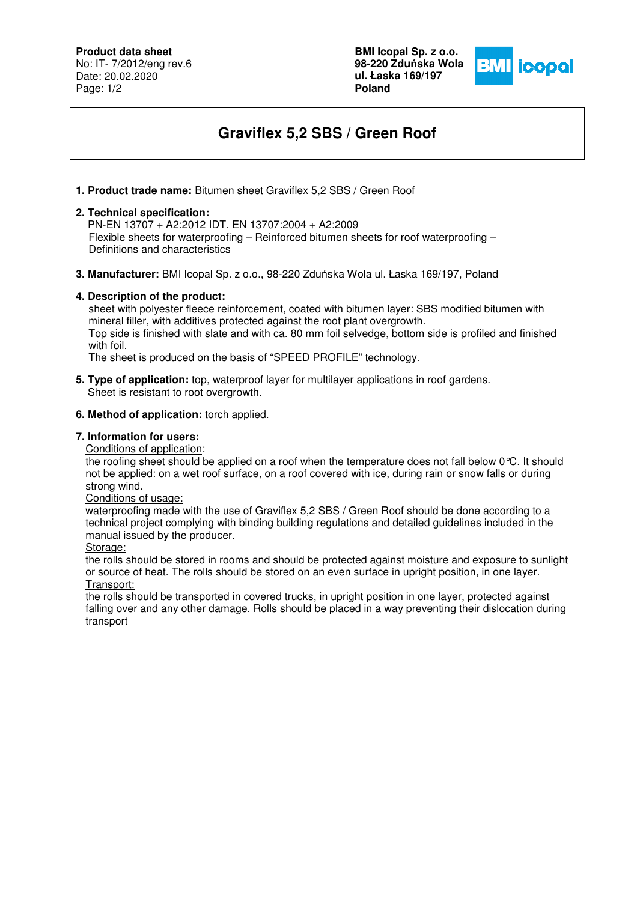**Product data sheet**

No: IT- 7/2012/eng rev.6 Date: 20.02.2020 Page: 1/2

**BMI Icopal Sp. z o.o. 98-220 Zdu**ń**ska Wola ul. Łaska 169/197 Poland** 



# **Graviflex 5,2 SBS / Green Roof**

**1. Product trade name:** Bitumen sheet Graviflex 5,2 SBS / Green Roof

#### **2. Technical specification:**

 PN-EN 13707 + A2:2012 IDT. EN 13707:2004 + A2:2009 Flexible sheets for waterproofing – Reinforced bitumen sheets for roof waterproofing – Definitions and characteristics

**3. Manufacturer:** BMI Icopal Sp. z o.o., 98-220 Zduńska Wola ul. Łaska 169/197, Poland

## **4. Description of the product:**

 sheet with polyester fleece reinforcement, coated with bitumen layer: SBS modified bitumen with mineral filler, with additives protected against the root plant overgrowth. Top side is finished with slate and with ca. 80 mm foil selvedge, bottom side is profiled and finished with foil.

The sheet is produced on the basis of "SPEED PROFILE" technology.

**5. Type of application:** top, waterproof layer for multilayer applications in roof gardens. Sheet is resistant to root overgrowth.

## **6. Method of application:** torch applied.

## **7. Information for users:**

Conditions of application:

the roofing sheet should be applied on a roof when the temperature does not fall below 0°C. It should not be applied: on a wet roof surface, on a roof covered with ice, during rain or snow falls or during strong wind.

Conditions of usage:

waterproofing made with the use of Graviflex 5,2 SBS / Green Roof should be done according to a technical project complying with binding building regulations and detailed guidelines included in the manual issued by the producer.

Storage:

the rolls should be stored in rooms and should be protected against moisture and exposure to sunlight or source of heat. The rolls should be stored on an even surface in upright position, in one layer. Transport:

the rolls should be transported in covered trucks, in upright position in one layer, protected against falling over and any other damage. Rolls should be placed in a way preventing their dislocation during transport